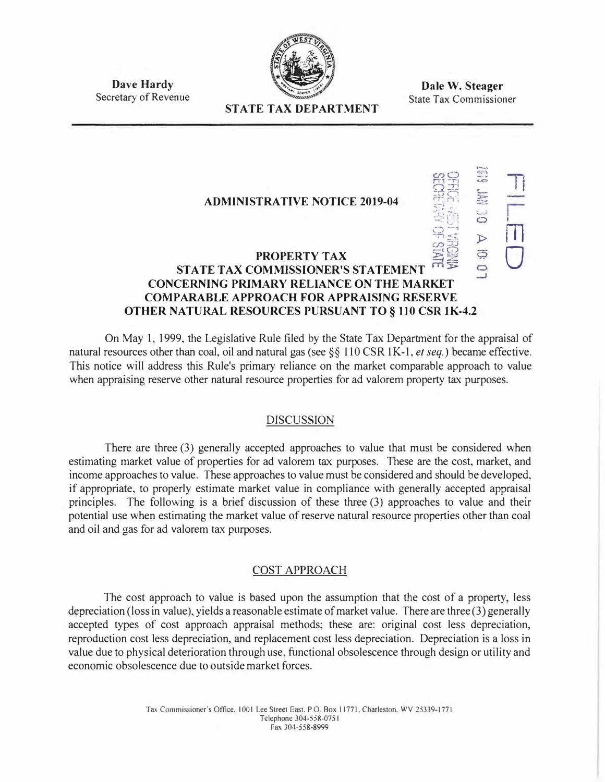

**Dale W. Steager**  State Tax Commissioner

**Dave Hardy**  Secretary of Revenue

# **STATE TAX DEPARTMENT**

## **ADMINISTRATIVE NOTICE 2019-04 PROPERTY TAX**   $\cup$  $\circ$  $\triangleright$ **STATE TAX COMMISSIONER'S STATEMENT CONCERNING PRIMARY RELIANCE ON THE MARKET COMPARABLE APPROACH FOR APPRAISING RESERVE OTHER NATURAL RESOURCES PURSUANT TO § 110 CSR lK-4.2 77**  m 0

On May 1, 1999, the Legislative Rule filed by the State Tax Department for the appraisal of natural resources other than coal, oil and natural gas (see §§ 110 CSR 1K-1, *et seq.*) became effective. This notice will address this Rule's primary reliance on the market comparable approach to value when appraising reserve other natural resource properties for ad valorem property tax purposes.

# DISCUSSION

There are three (3) generally accepted approaches to value that must be considered when estimating market value of properties for ad valorem tax purposes. These are the cost, market, and income approaches to value. These approaches to value must be considered and should be developed, if appropriate, to properly estimate market value in compliance with generally accepted appraisal principles. The following is a brief discussion of these three (3) approaches to value and their potential use when estimating the market value of reserve natural resource properties other than coal and oil and gas for ad valorem tax purposes.

# COST APPROACH

The cost approach to value is based upon the assumption that the cost of a property, less depreciation (loss in value), yields a reasonable estimate of market value. There are three (3) generally accepted types of cost approach appraisal methods; these are: original cost less depreciation, reproduction cost less depreciation, and replacement cost less depreciation. Depreciation is a loss in value due to physical deterioration through use, functional obsolescence through design or utility and economic obsolescence due to outside market forces.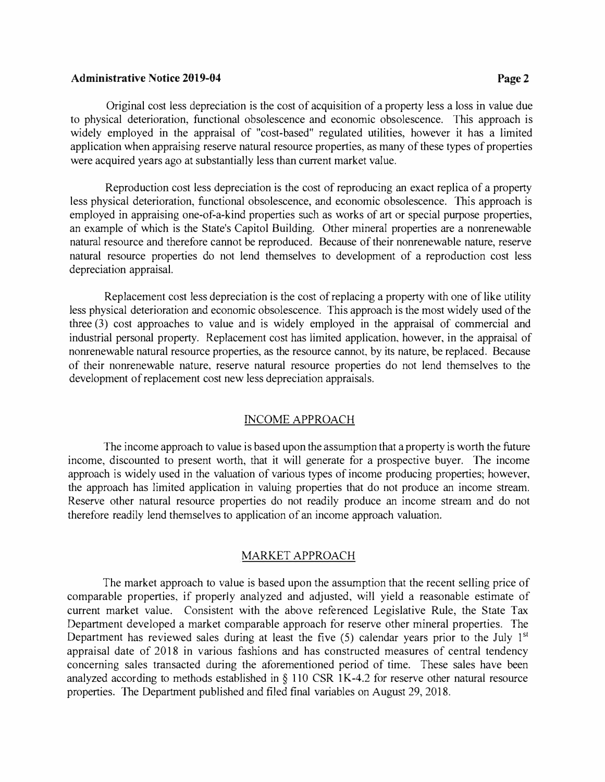### **Administrative Notice 2019-04 Page 2** Page 2

Original cost less depreciation is the cost of acquisition of a property less a loss in value due to physical deterioration, functional obsolescence and economic obsolescence. This approach is widely employed in the appraisal of "cost-based" regulated utilities, however it has a limited application when appraising reserve natural resource properties, as many of these types of properties were acquired years ago at substantially less than current market value.

Reproduction cost less depreciation is the cost of reproducing an exact replica of a property less physical deterioration, functional obsolescence, and economic obsolescence. This approach is employed in appraising one-of-a-kind properties such as works of art or special purpose properties, an example of which is the State's Capitol Building. Other mineral properties are a nonrenewable natural resource and therefore cannot be reproduced. Because of their nonrenewable nature, reserve natural resource properties do not lend themselves to development of a reproduction cost less depreciation appraisal.

Replacement cost less depreciation is the cost of replacing a property with one of like utility less physical deterioration and economic obsolescence. This approach is the most widely used of the three (3) cost approaches to value and is widely employed in the appraisal of commercial and industrial personal property. Replacement cost has limited application, however, in the appraisal of nonrenewable natural resource properties, as the resource cannot, by its nature, be replaced. Because of their nonrenewable nature, reserve natural resource properties do not lend themselves to the development of replacement cost new less depreciation appraisals.

#### INCOME APPROACH

The income approach to value is based upon the assumption that a property is worth the future income, discounted to present worth, that it will generate for a prospective buyer. The income approach is widely used in the valuation of various types of income producing properties; however, the approach has limited application in valuing properties that do not produce an income stream. Reserve other natural resource properties do not readily produce an income stream and do not therefore readily lend themselves to application of an income approach valuation.

## MARKET APPROACH

The market approach to value is based upon the assumption that the recent selling price of comparable properties, if properly analyzed and adjusted, will yield a reasonable estimate of current market value. Consistent with the above referenced Legislative Rule, the State Tax Department developed a market comparable approach for reserve other mineral properties. The Department has reviewed sales during at least the five (5) calendar years prior to the July 1<sup>st</sup> appraisal date of 2018 in various fashions and has constructed measures of central tendency concerning sales transacted during the aforementioned period of time. These sales have been analyzed according to methods established in§ 110 CSR lK-4.2 for reserve other natural resource properties. The Department published and filed final variables on August 29, 2018.